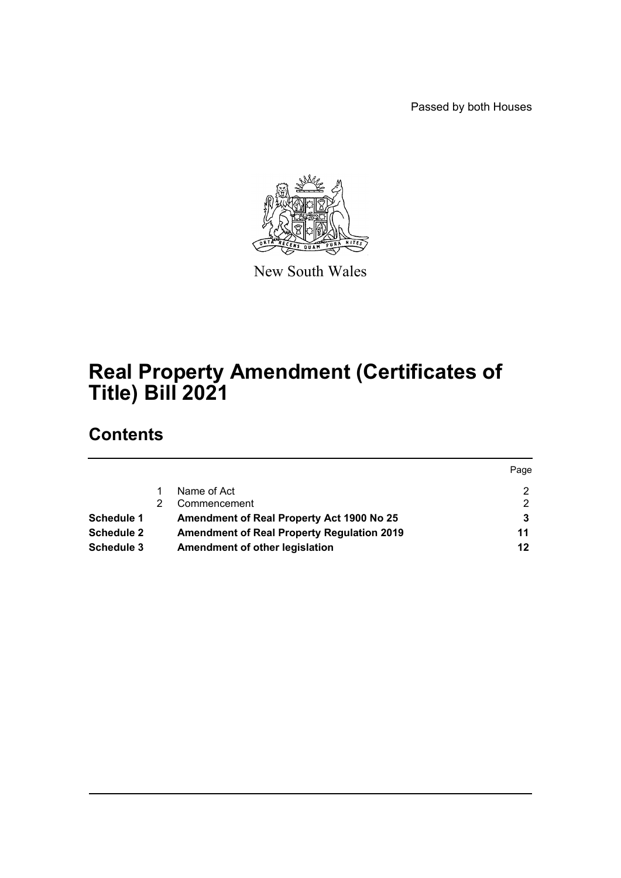Passed by both Houses



New South Wales

# **Real Property Amendment (Certificates of Title) Bill 2021**

# **Contents**

|                   |                                                   | Page |
|-------------------|---------------------------------------------------|------|
|                   | Name of Act                                       |      |
|                   | Commencement                                      | 2    |
| <b>Schedule 1</b> | Amendment of Real Property Act 1900 No 25         |      |
| Schedule 2        | <b>Amendment of Real Property Regulation 2019</b> | 11   |
| Schedule 3        | Amendment of other legislation                    | 12   |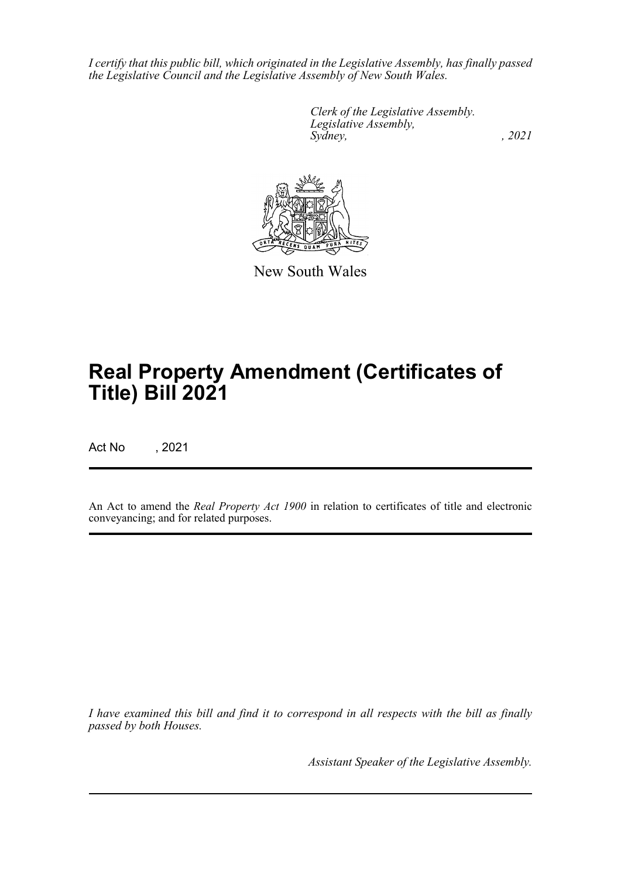*I certify that this public bill, which originated in the Legislative Assembly, has finally passed the Legislative Council and the Legislative Assembly of New South Wales.*

> *Clerk of the Legislative Assembly. Legislative Assembly, Sydney, , 2021*



New South Wales

# **Real Property Amendment (Certificates of Title) Bill 2021**

Act No , 2021

An Act to amend the *Real Property Act 1900* in relation to certificates of title and electronic conveyancing; and for related purposes.

*I have examined this bill and find it to correspond in all respects with the bill as finally passed by both Houses.*

*Assistant Speaker of the Legislative Assembly.*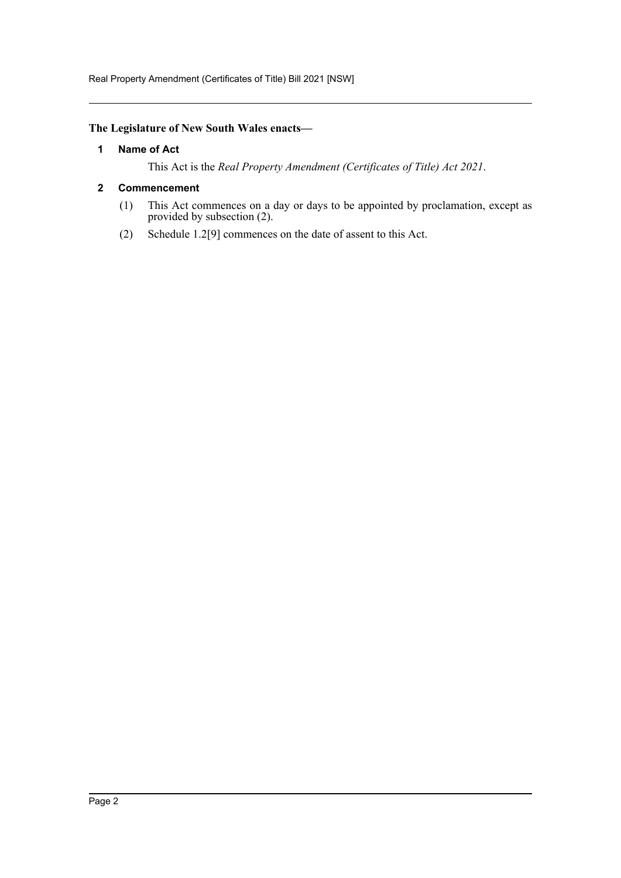Real Property Amendment (Certificates of Title) Bill 2021 [NSW]

# <span id="page-2-0"></span>**The Legislature of New South Wales enacts—**

#### **1 Name of Act**

This Act is the *Real Property Amendment (Certificates of Title) Act 2021*.

#### <span id="page-2-1"></span>**2 Commencement**

- (1) This Act commences on a day or days to be appointed by proclamation, except as provided by subsection (2).
- (2) Schedule 1.2[9] commences on the date of assent to this Act.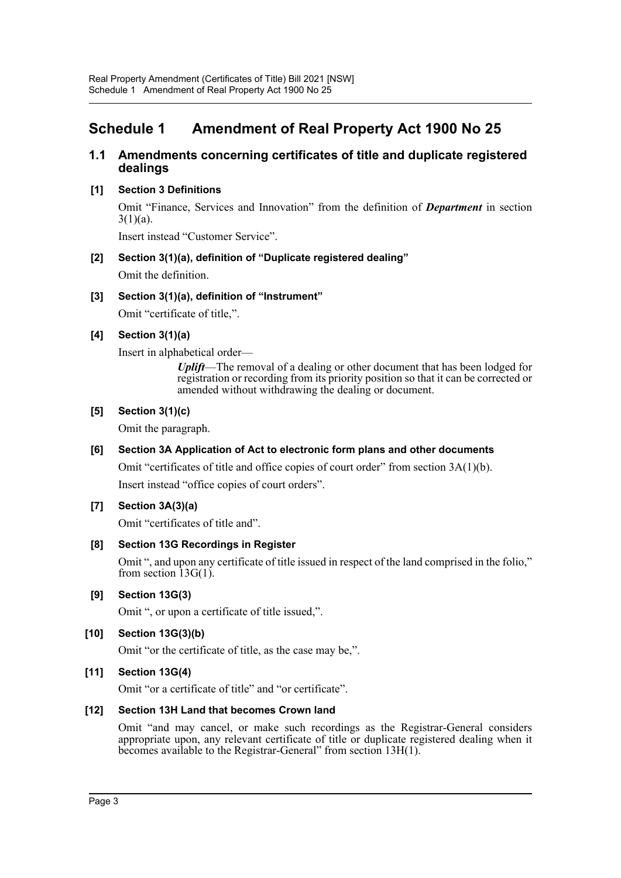# <span id="page-3-0"></span>**Schedule 1 Amendment of Real Property Act 1900 No 25**

# **1.1 Amendments concerning certificates of title and duplicate registered dealings**

#### **[1] Section 3 Definitions**

Omit "Finance, Services and Innovation" from the definition of *Department* in section  $3(1)(a)$ .

Insert instead "Customer Service".

# **[2] Section 3(1)(a), definition of "Duplicate registered dealing"**

Omit the definition.

#### **[3] Section 3(1)(a), definition of "Instrument"**

Omit "certificate of title,".

# **[4] Section 3(1)(a)**

Insert in alphabetical order—

*Uplift*—The removal of a dealing or other document that has been lodged for registration or recording from its priority position so that it can be corrected or amended without withdrawing the dealing or document.

#### **[5] Section 3(1)(c)**

Omit the paragraph.

# **[6] Section 3A Application of Act to electronic form plans and other documents**

Omit "certificates of title and office copies of court order" from section 3A(1)(b).

Insert instead "office copies of court orders".

# **[7] Section 3A(3)(a)**

Omit "certificates of title and".

#### **[8] Section 13G Recordings in Register**

Omit ", and upon any certificate of title issued in respect of the land comprised in the folio," from section  $\overline{13G(1)}$ .

#### **[9] Section 13G(3)**

Omit ", or upon a certificate of title issued,".

# **[10] Section 13G(3)(b)**

Omit "or the certificate of title, as the case may be,".

# **[11] Section 13G(4)**

Omit "or a certificate of title" and "or certificate".

#### **[12] Section 13H Land that becomes Crown land**

Omit "and may cancel, or make such recordings as the Registrar-General considers appropriate upon, any relevant certificate of title or duplicate registered dealing when it becomes available to the Registrar-General" from section 13H(1).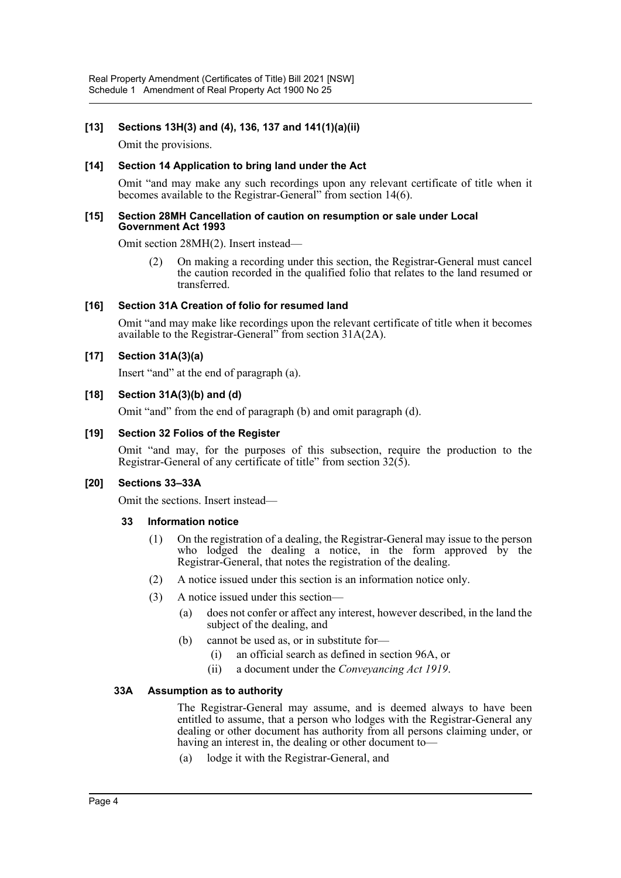#### **[13] Sections 13H(3) and (4), 136, 137 and 141(1)(a)(ii)**

Omit the provisions.

#### **[14] Section 14 Application to bring land under the Act**

Omit "and may make any such recordings upon any relevant certificate of title when it becomes available to the Registrar-General" from section 14(6).

#### **[15] Section 28MH Cancellation of caution on resumption or sale under Local Government Act 1993**

Omit section 28MH(2). Insert instead—

(2) On making a recording under this section, the Registrar-General must cancel the caution recorded in the qualified folio that relates to the land resumed or transferred.

#### **[16] Section 31A Creation of folio for resumed land**

Omit "and may make like recordings upon the relevant certificate of title when it becomes available to the Registrar-General" from section 31A(2A).

#### **[17] Section 31A(3)(a)**

Insert "and" at the end of paragraph (a).

#### **[18] Section 31A(3)(b) and (d)**

Omit "and" from the end of paragraph (b) and omit paragraph (d).

#### **[19] Section 32 Folios of the Register**

Omit "and may, for the purposes of this subsection, require the production to the Registrar-General of any certificate of title" from section  $32(\overline{5})$ .

#### **[20] Sections 33–33A**

Omit the sections. Insert instead—

#### **33 Information notice**

- (1) On the registration of a dealing, the Registrar-General may issue to the person who lodged the dealing a notice, in the form approved by the Registrar-General, that notes the registration of the dealing.
- (2) A notice issued under this section is an information notice only.
- (3) A notice issued under this section—
	- (a) does not confer or affect any interest, however described, in the land the subject of the dealing, and
	- (b) cannot be used as, or in substitute for—
		- (i) an official search as defined in section 96A, or
		- (ii) a document under the *Conveyancing Act 1919*.

#### **33A Assumption as to authority**

The Registrar-General may assume, and is deemed always to have been entitled to assume, that a person who lodges with the Registrar-General any dealing or other document has authority from all persons claiming under, or having an interest in, the dealing or other document to—

(a) lodge it with the Registrar-General, and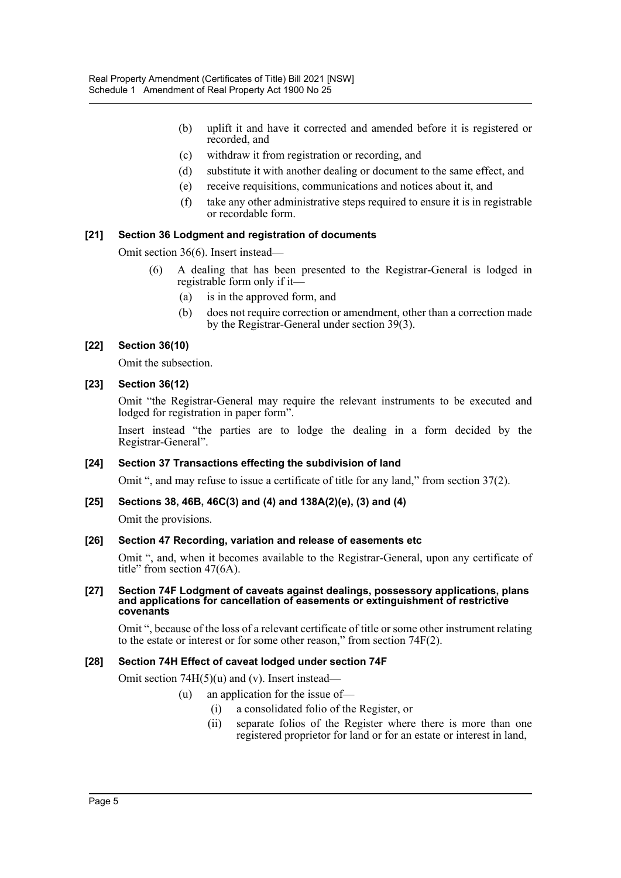- (b) uplift it and have it corrected and amended before it is registered or recorded, and
- (c) withdraw it from registration or recording, and
- (d) substitute it with another dealing or document to the same effect, and
- (e) receive requisitions, communications and notices about it, and
- (f) take any other administrative steps required to ensure it is in registrable or recordable form.

#### **[21] Section 36 Lodgment and registration of documents**

Omit section 36(6). Insert instead—

- (6) A dealing that has been presented to the Registrar-General is lodged in registrable form only if it—
	- (a) is in the approved form, and
	- (b) does not require correction or amendment, other than a correction made by the Registrar-General under section 39(3).

#### **[22] Section 36(10)**

Omit the subsection.

#### **[23] Section 36(12)**

Omit "the Registrar-General may require the relevant instruments to be executed and lodged for registration in paper form".

Insert instead "the parties are to lodge the dealing in a form decided by the Registrar-General".

#### **[24] Section 37 Transactions effecting the subdivision of land**

Omit ", and may refuse to issue a certificate of title for any land," from section 37(2).

#### **[25] Sections 38, 46B, 46C(3) and (4) and 138A(2)(e), (3) and (4)**

Omit the provisions.

#### **[26] Section 47 Recording, variation and release of easements etc**

Omit ", and, when it becomes available to the Registrar-General, upon any certificate of title" from section 47(6A).

#### **[27] Section 74F Lodgment of caveats against dealings, possessory applications, plans and applications for cancellation of easements or extinguishment of restrictive covenants**

Omit ", because of the loss of a relevant certificate of title or some other instrument relating to the estate or interest or for some other reason," from section 74F(2).

#### **[28] Section 74H Effect of caveat lodged under section 74F**

Omit section 74H(5)(u) and (v). Insert instead—

#### (u) an application for the issue of—

- (i) a consolidated folio of the Register, or
- (ii) separate folios of the Register where there is more than one registered proprietor for land or for an estate or interest in land,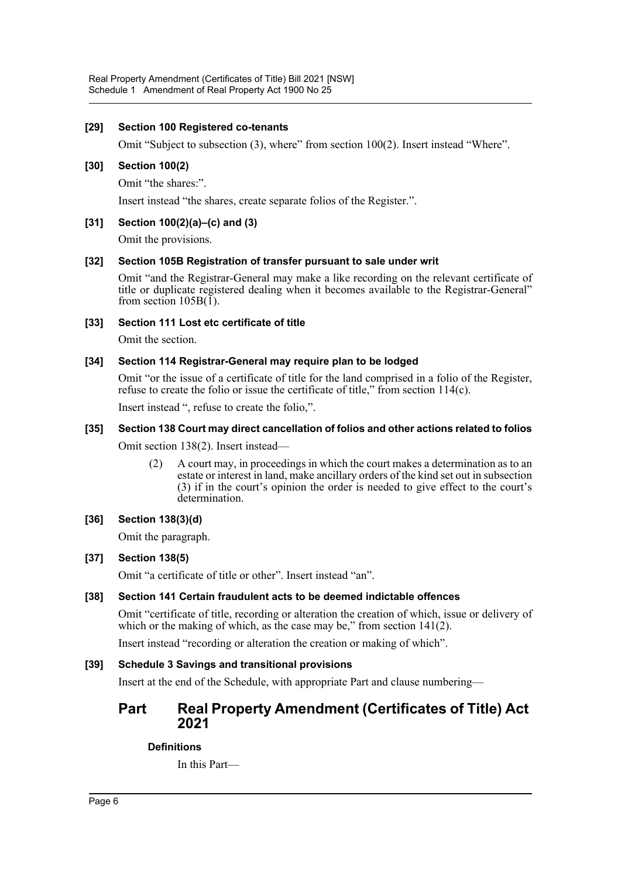#### **[29] Section 100 Registered co-tenants**

Omit "Subject to subsection (3), where" from section 100(2). Insert instead "Where".

#### **[30] Section 100(2)**

Omit "the shares:".

Insert instead "the shares, create separate folios of the Register.".

#### **[31] Section 100(2)(a)–(c) and (3)**

Omit the provisions.

#### **[32] Section 105B Registration of transfer pursuant to sale under writ**

Omit "and the Registrar-General may make a like recording on the relevant certificate of title or duplicate registered dealing when it becomes available to the Registrar-General" from section  $105B(\tilde{I})$ .

#### **[33] Section 111 Lost etc certificate of title**

Omit the section.

#### **[34] Section 114 Registrar-General may require plan to be lodged**

Omit "or the issue of a certificate of title for the land comprised in a folio of the Register, refuse to create the folio or issue the certificate of title," from section  $114(c)$ .

Insert instead ", refuse to create the folio,".

#### **[35] Section 138 Court may direct cancellation of folios and other actions related to folios**

Omit section 138(2). Insert instead—

(2) A court may, in proceedings in which the court makes a determination as to an estate or interest in land, make ancillary orders of the kind set out in subsection (3) if in the court's opinion the order is needed to give effect to the court's determination.

# **[36] Section 138(3)(d)**

Omit the paragraph.

#### **[37] Section 138(5)**

Omit "a certificate of title or other". Insert instead "an".

# **[38] Section 141 Certain fraudulent acts to be deemed indictable offences**

Omit "certificate of title, recording or alteration the creation of which, issue or delivery of which or the making of which, as the case may be," from section  $141(2)$ .

Insert instead "recording or alteration the creation or making of which".

#### **[39] Schedule 3 Savings and transitional provisions**

Insert at the end of the Schedule, with appropriate Part and clause numbering—

# **Part Real Property Amendment (Certificates of Title) Act 2021**

# **Definitions**

In this Part—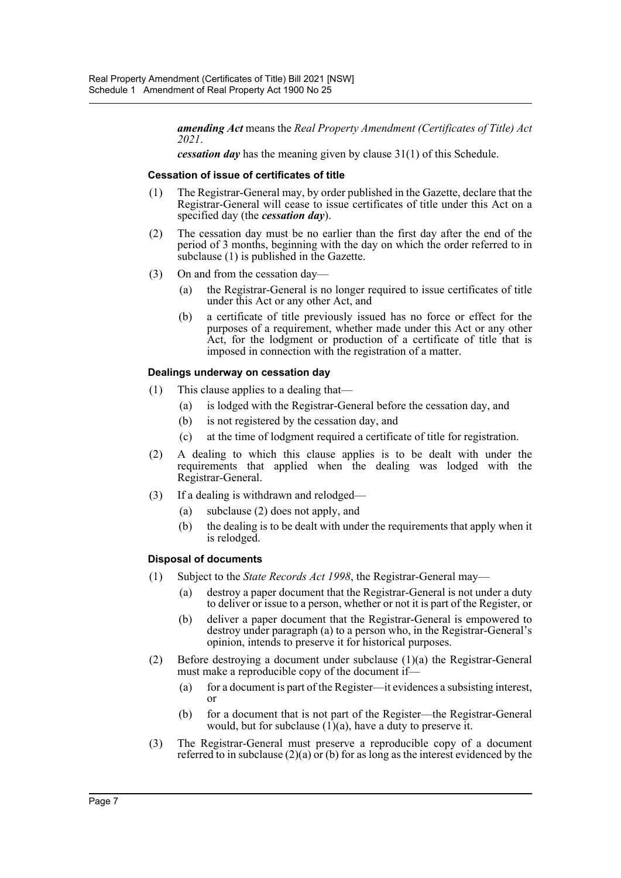*amending Act* means the *Real Property Amendment (Certificates of Title) Act 2021*.

*cessation day* has the meaning given by clause 31(1) of this Schedule.

#### **Cessation of issue of certificates of title**

- (1) The Registrar-General may, by order published in the Gazette, declare that the Registrar-General will cease to issue certificates of title under this Act on a specified day (the *cessation day*).
- (2) The cessation day must be no earlier than the first day after the end of the period of 3 months, beginning with the day on which the order referred to in subclause (1) is published in the Gazette.
- (3) On and from the cessation day—
	- (a) the Registrar-General is no longer required to issue certificates of title under this Act or any other Act, and
	- (b) a certificate of title previously issued has no force or effect for the purposes of a requirement, whether made under this Act or any other Act, for the lodgment or production of a certificate of title that is imposed in connection with the registration of a matter.

#### **Dealings underway on cessation day**

- (1) This clause applies to a dealing that—
	- (a) is lodged with the Registrar-General before the cessation day, and
	- (b) is not registered by the cessation day, and
	- (c) at the time of lodgment required a certificate of title for registration.
- (2) A dealing to which this clause applies is to be dealt with under the requirements that applied when the dealing was lodged with the Registrar-General.
- (3) If a dealing is withdrawn and relodged—
	- (a) subclause (2) does not apply, and
	- (b) the dealing is to be dealt with under the requirements that apply when it is relodged.

#### **Disposal of documents**

- (1) Subject to the *State Records Act 1998*, the Registrar-General may—
	- (a) destroy a paper document that the Registrar-General is not under a duty to deliver or issue to a person, whether or not it is part of the Register, or
	- (b) deliver a paper document that the Registrar-General is empowered to destroy under paragraph (a) to a person who, in the Registrar-General's opinion, intends to preserve it for historical purposes.
- (2) Before destroying a document under subclause (1)(a) the Registrar-General must make a reproducible copy of the document if—
	- (a) for a document is part of the Register—it evidences a subsisting interest, or
	- (b) for a document that is not part of the Register—the Registrar-General would, but for subclause  $(1)(a)$ , have a duty to preserve it.
- (3) The Registrar-General must preserve a reproducible copy of a document referred to in subclause  $(2)(a)$  or (b) for as long as the interest evidenced by the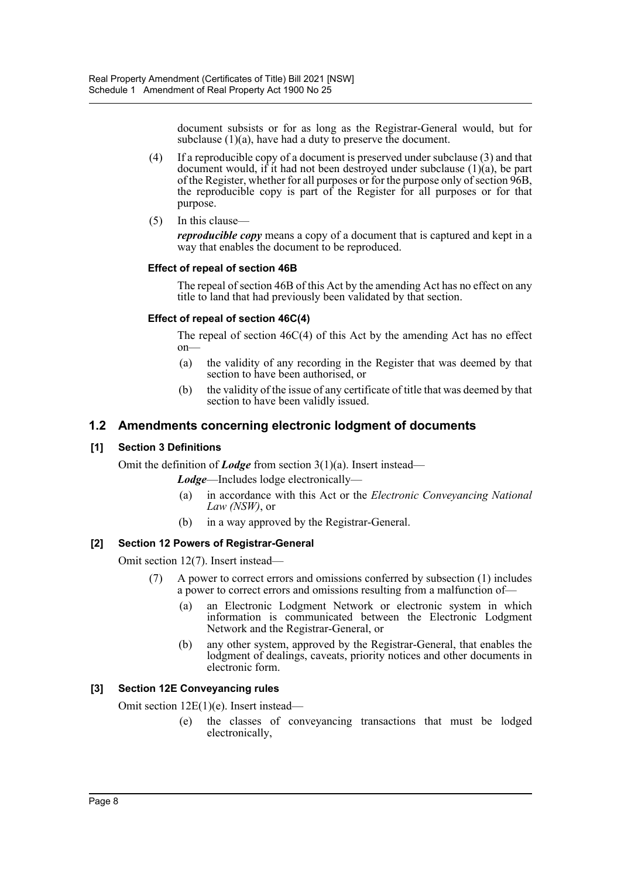document subsists or for as long as the Registrar-General would, but for subclause (1)(a), have had a duty to preserve the document.

- (4) If a reproducible copy of a document is preserved under subclause (3) and that document would, if it had not been destroyed under subclause  $(1)(a)$ , be part of the Register, whether for all purposes or for the purpose only of section 96B, the reproducible copy is part of the Register for all purposes or for that purpose.
- (5) In this clause—

*reproducible copy* means a copy of a document that is captured and kept in a way that enables the document to be reproduced.

# **Effect of repeal of section 46B**

The repeal of section 46B of this Act by the amending Act has no effect on any title to land that had previously been validated by that section.

#### **Effect of repeal of section 46C(4)**

The repeal of section 46C(4) of this Act by the amending Act has no effect on—

- (a) the validity of any recording in the Register that was deemed by that section to have been authorised, or
- (b) the validity of the issue of any certificate of title that was deemed by that section to have been validly issued.

# **1.2 Amendments concerning electronic lodgment of documents**

#### **[1] Section 3 Definitions**

Omit the definition of *Lodge* from section 3(1)(a). Insert instead—

*Lodge*—Includes lodge electronically—

- (a) in accordance with this Act or the *Electronic Conveyancing National Law (NSW)*, or
- (b) in a way approved by the Registrar-General.

# **[2] Section 12 Powers of Registrar-General**

Omit section 12(7). Insert instead—

- (7) A power to correct errors and omissions conferred by subsection (1) includes a power to correct errors and omissions resulting from a malfunction of—
	- (a) an Electronic Lodgment Network or electronic system in which information is communicated between the Electronic Lodgment Network and the Registrar-General, or
	- (b) any other system, approved by the Registrar-General, that enables the lodgment of dealings, caveats, priority notices and other documents in electronic form.

# **[3] Section 12E Conveyancing rules**

Omit section 12E(1)(e). Insert instead—

(e) the classes of conveyancing transactions that must be lodged electronically,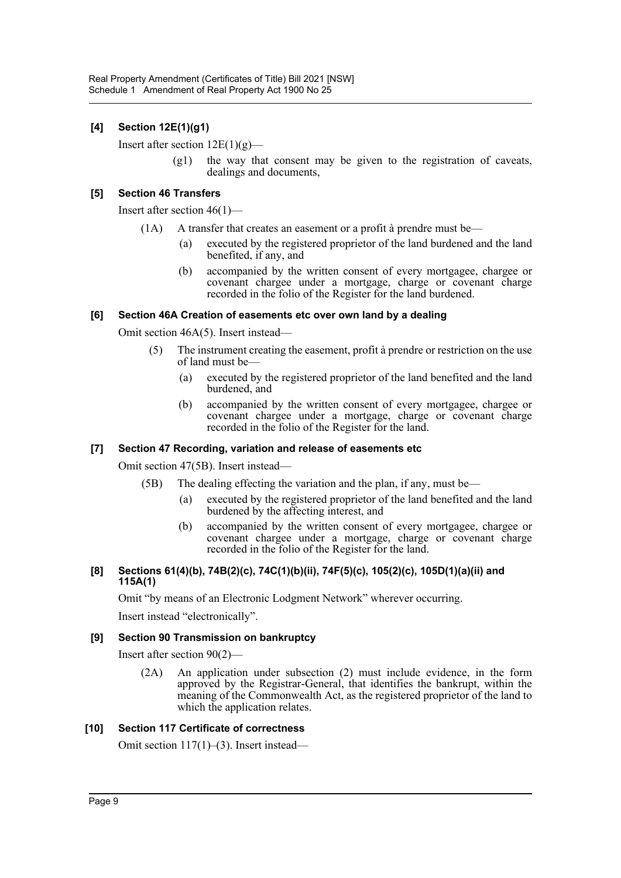# **[4] Section 12E(1)(g1)**

Insert after section  $12E(1)(g)$ —

 $(g1)$  the way that consent may be given to the registration of caveats, dealings and documents,

#### **[5] Section 46 Transfers**

Insert after section 46(1)—

- $(1A)$  A transfer that creates an easement or a profit à prendre must be—
	- (a) executed by the registered proprietor of the land burdened and the land benefited, if any, and
	- (b) accompanied by the written consent of every mortgagee, chargee or covenant chargee under a mortgage, charge or covenant charge recorded in the folio of the Register for the land burdened.

#### **[6] Section 46A Creation of easements etc over own land by a dealing**

Omit section 46A(5). Insert instead—

- (5) The instrument creating the easement, profit à prendre or restriction on the use of land must be—
	- (a) executed by the registered proprietor of the land benefited and the land burdened, and
	- (b) accompanied by the written consent of every mortgagee, chargee or covenant chargee under a mortgage, charge or covenant charge recorded in the folio of the Register for the land.

# **[7] Section 47 Recording, variation and release of easements etc**

Omit section 47(5B). Insert instead—

- (5B) The dealing effecting the variation and the plan, if any, must be—
	- (a) executed by the registered proprietor of the land benefited and the land burdened by the affecting interest, and
	- (b) accompanied by the written consent of every mortgagee, chargee or covenant chargee under a mortgage, charge or covenant charge recorded in the folio of the Register for the land.

#### **[8] Sections 61(4)(b), 74B(2)(c), 74C(1)(b)(ii), 74F(5)(c), 105(2)(c), 105D(1)(a)(ii) and 115A(1)**

Omit "by means of an Electronic Lodgment Network" wherever occurring.

Insert instead "electronically".

# **[9] Section 90 Transmission on bankruptcy**

Insert after section 90(2)—

(2A) An application under subsection (2) must include evidence, in the form approved by the Registrar-General, that identifies the bankrupt, within the meaning of the Commonwealth Act, as the registered proprietor of the land to which the application relates.

#### **[10] Section 117 Certificate of correctness**

Omit section 117(1)–(3). Insert instead—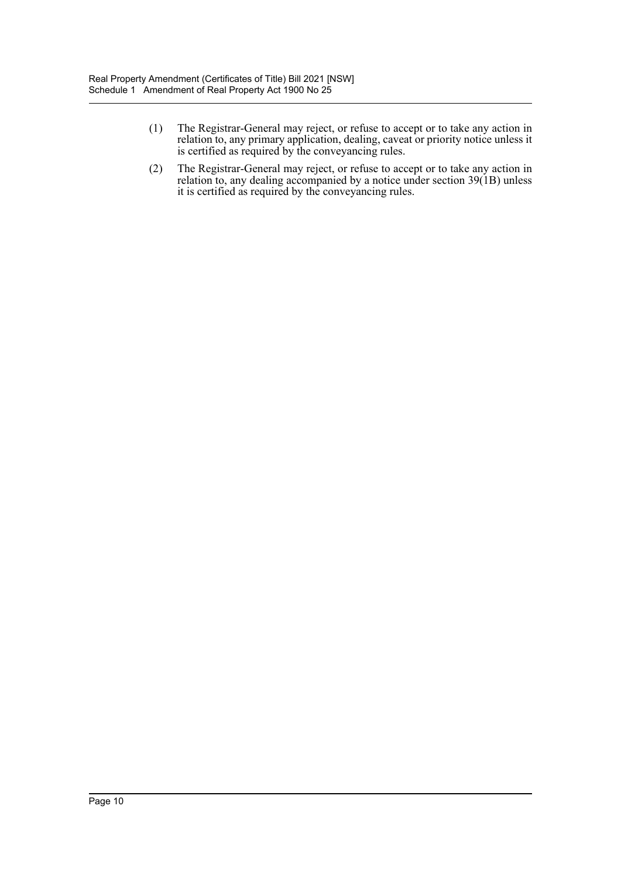- (1) The Registrar-General may reject, or refuse to accept or to take any action in relation to, any primary application, dealing, caveat or priority notice unless it is certified as required by the conveyancing rules.
- (2) The Registrar-General may reject, or refuse to accept or to take any action in relation to, any dealing accompanied by a notice under section 39(1B) unless it is certified as required by the conveyancing rules.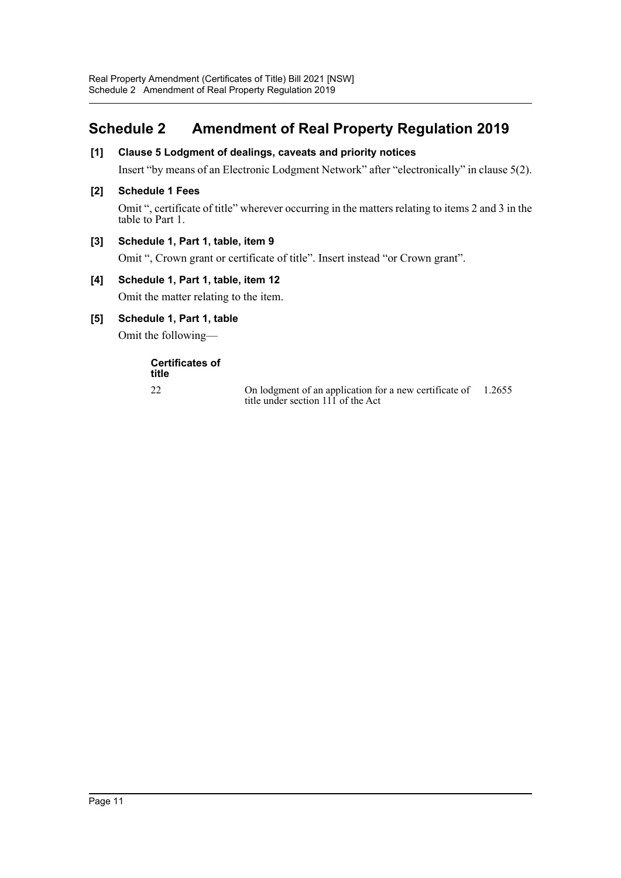# <span id="page-11-0"></span>**Schedule 2 Amendment of Real Property Regulation 2019**

# **[1] Clause 5 Lodgment of dealings, caveats and priority notices**

Insert "by means of an Electronic Lodgment Network" after "electronically" in clause 5(2).

#### **[2] Schedule 1 Fees**

Omit ", certificate of title" wherever occurring in the matters relating to items 2 and 3 in the table to Part 1.

#### **[3] Schedule 1, Part 1, table, item 9**

Omit ", Crown grant or certificate of title". Insert instead "or Crown grant".

#### **[4] Schedule 1, Part 1, table, item 12**

Omit the matter relating to the item.

**[5] Schedule 1, Part 1, table**

Omit the following—

**Certificates of title**

22 On lodgment of an application for a new certificate of 1.2655title under section 111 of the Act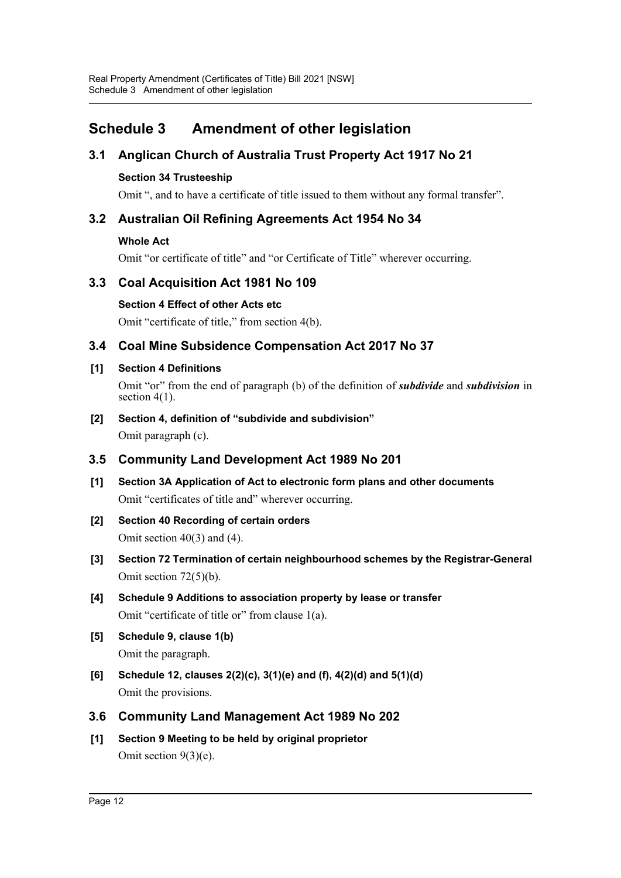# <span id="page-12-0"></span>**Schedule 3 Amendment of other legislation**

# **3.1 Anglican Church of Australia Trust Property Act 1917 No 21**

# **Section 34 Trusteeship**

Omit ", and to have a certificate of title issued to them without any formal transfer".

# **3.2 Australian Oil Refining Agreements Act 1954 No 34**

# **Whole Act**

Omit "or certificate of title" and "or Certificate of Title" wherever occurring.

# **3.3 Coal Acquisition Act 1981 No 109**

**Section 4 Effect of other Acts etc**

Omit "certificate of title," from section 4(b).

# **3.4 Coal Mine Subsidence Compensation Act 2017 No 37**

# **[1] Section 4 Definitions**

Omit "or" from the end of paragraph (b) of the definition of *subdivide* and *subdivision* in section 4(1).

**[2] Section 4, definition of "subdivide and subdivision"** Omit paragraph (c).

# **3.5 Community Land Development Act 1989 No 201**

- **[1] Section 3A Application of Act to electronic form plans and other documents** Omit "certificates of title and" wherever occurring.
- **[2] Section 40 Recording of certain orders** Omit section 40(3) and (4).
- **[3] Section 72 Termination of certain neighbourhood schemes by the Registrar-General** Omit section 72(5)(b).
- **[4] Schedule 9 Additions to association property by lease or transfer** Omit "certificate of title or" from clause 1(a).
- **[5] Schedule 9, clause 1(b)** Omit the paragraph.
- **[6] Schedule 12, clauses 2(2)(c), 3(1)(e) and (f), 4(2)(d) and 5(1)(d)** Omit the provisions.
- **3.6 Community Land Management Act 1989 No 202**
- **[1] Section 9 Meeting to be held by original proprietor** Omit section 9(3)(e).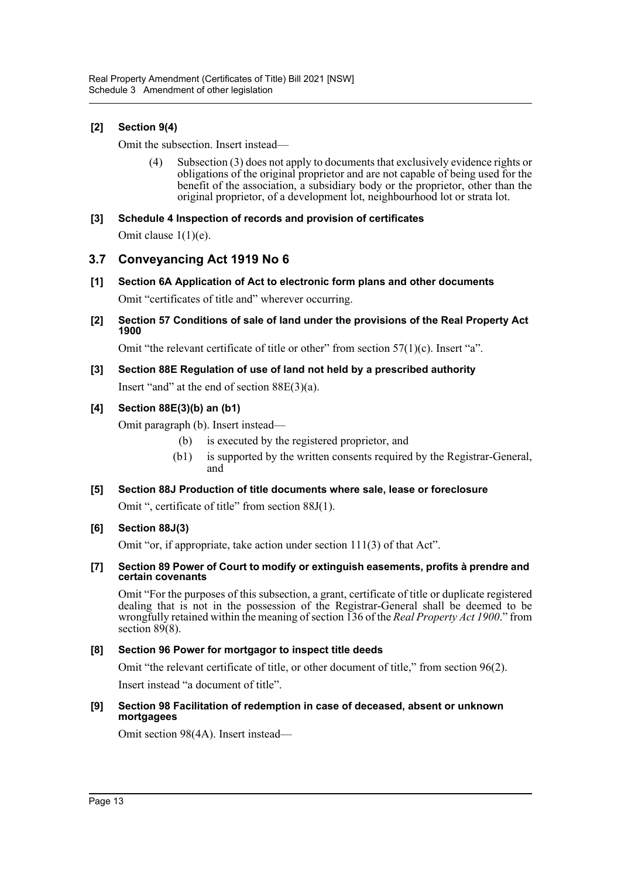# **[2] Section 9(4)**

Omit the subsection. Insert instead—

(4) Subsection (3) does not apply to documents that exclusively evidence rights or obligations of the original proprietor and are not capable of being used for the benefit of the association, a subsidiary body or the proprietor, other than the original proprietor, of a development lot, neighbourhood lot or strata lot.

# **[3] Schedule 4 Inspection of records and provision of certificates**

Omit clause 1(1)(e).

# **3.7 Conveyancing Act 1919 No 6**

- **[1] Section 6A Application of Act to electronic form plans and other documents** Omit "certificates of title and" wherever occurring.
- **[2] Section 57 Conditions of sale of land under the provisions of the Real Property Act 1900**

Omit "the relevant certificate of title or other" from section  $57(1)(c)$ . Insert "a".

**[3] Section 88E Regulation of use of land not held by a prescribed authority** Insert "and" at the end of section 88E(3)(a).

# **[4] Section 88E(3)(b) an (b1)**

Omit paragraph (b). Insert instead—

- (b) is executed by the registered proprietor, and
- (b1) is supported by the written consents required by the Registrar-General, and

# **[5] Section 88J Production of title documents where sale, lease or foreclosure**

Omit ", certificate of title" from section 88J(1).

# **[6] Section 88J(3)**

Omit "or, if appropriate, take action under section 111(3) of that Act".

#### **[7] Section 89 Power of Court to modify or extinguish easements, profits à prendre and certain covenants**

Omit "For the purposes of this subsection, a grant, certificate of title or duplicate registered dealing that is not in the possession of the Registrar-General shall be deemed to be wrongfully retained within the meaning of section 136 of the *Real Property Act 1900*." from section 89(8).

# **[8] Section 96 Power for mortgagor to inspect title deeds**

Omit "the relevant certificate of title, or other document of title," from section 96(2).

Insert instead "a document of title".

#### **[9] Section 98 Facilitation of redemption in case of deceased, absent or unknown mortgagees**

Omit section 98(4A). Insert instead—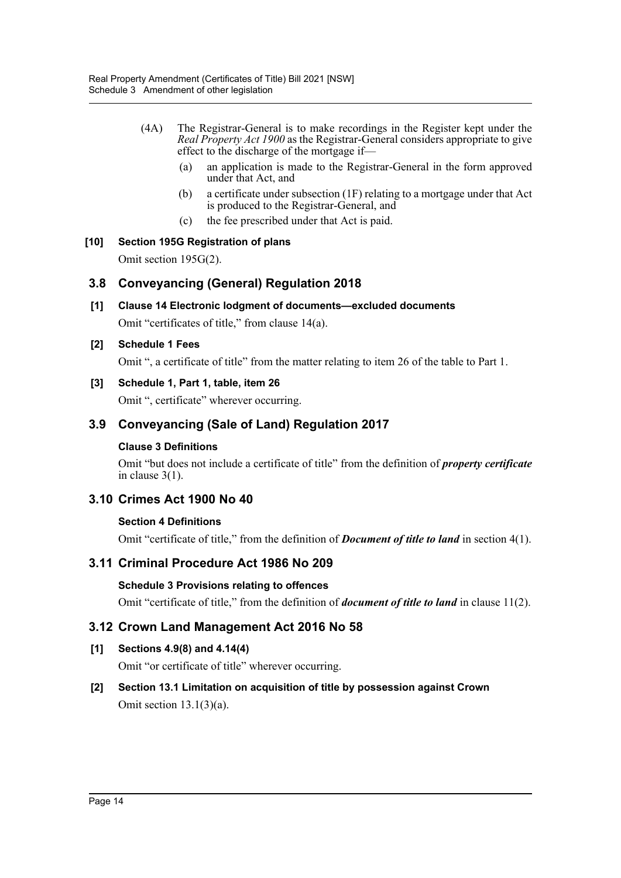- (4A) The Registrar-General is to make recordings in the Register kept under the *Real Property Act 1900* as the Registrar-General considers appropriate to give effect to the discharge of the mortgage if—
	- (a) an application is made to the Registrar-General in the form approved under that Act, and
	- (b) a certificate under subsection (1F) relating to a mortgage under that Act is produced to the Registrar-General, and
	- (c) the fee prescribed under that Act is paid.

# **[10] Section 195G Registration of plans**

Omit section 195G(2).

# **3.8 Conveyancing (General) Regulation 2018**

- **[1] Clause 14 Electronic lodgment of documents—excluded documents** Omit "certificates of title," from clause 14(a).
- **[2] Schedule 1 Fees**

Omit ", a certificate of title" from the matter relating to item 26 of the table to Part 1.

# **[3] Schedule 1, Part 1, table, item 26**

Omit ", certificate" wherever occurring.

# **3.9 Conveyancing (Sale of Land) Regulation 2017**

# **Clause 3 Definitions**

Omit "but does not include a certificate of title" from the definition of *property certificate* in clause 3(1).

# **3.10 Crimes Act 1900 No 40**

# **Section 4 Definitions**

Omit "certificate of title," from the definition of *Document of title to land* in section 4(1).

# **3.11 Criminal Procedure Act 1986 No 209**

# **Schedule 3 Provisions relating to offences**

Omit "certificate of title," from the definition of *document of title to land* in clause 11(2).

# **3.12 Crown Land Management Act 2016 No 58**

**[1] Sections 4.9(8) and 4.14(4)**

Omit "or certificate of title" wherever occurring.

# **[2] Section 13.1 Limitation on acquisition of title by possession against Crown** Omit section 13.1(3)(a).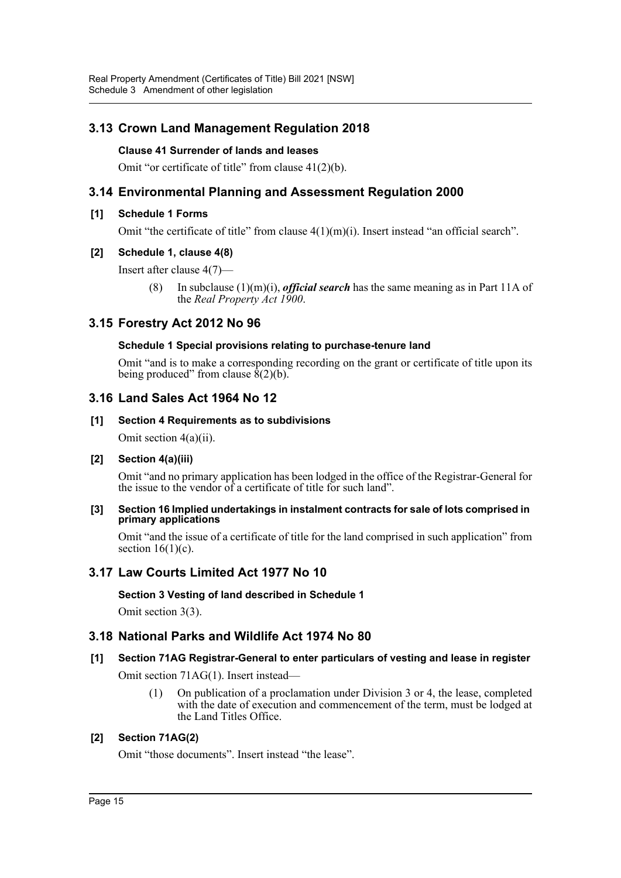# **3.13 Crown Land Management Regulation 2018**

# **Clause 41 Surrender of lands and leases**

Omit "or certificate of title" from clause 41(2)(b).

# **3.14 Environmental Planning and Assessment Regulation 2000**

#### **[1] Schedule 1 Forms**

Omit "the certificate of title" from clause  $4(1)(m)(i)$ . Insert instead "an official search".

#### **[2] Schedule 1, clause 4(8)**

Insert after clause 4(7)—

(8) In subclause (1)(m)(i), *official search* has the same meaning as in Part 11A of the *Real Property Act 1900*.

# **3.15 Forestry Act 2012 No 96**

#### **Schedule 1 Special provisions relating to purchase-tenure land**

Omit "and is to make a corresponding recording on the grant or certificate of title upon its being produced" from clause  $\hat{8}(2)(b)$ .

# **3.16 Land Sales Act 1964 No 12**

#### **[1] Section 4 Requirements as to subdivisions**

Omit section 4(a)(ii).

#### **[2] Section 4(a)(iii)**

Omit "and no primary application has been lodged in the office of the Registrar-General for the issue to the vendor of a certificate of title for such land".

#### **[3] Section 16 Implied undertakings in instalment contracts for sale of lots comprised in primary applications**

Omit "and the issue of a certificate of title for the land comprised in such application" from section  $16(1)(c)$ .

# **3.17 Law Courts Limited Act 1977 No 10**

#### **Section 3 Vesting of land described in Schedule 1**

Omit section 3(3).

# **3.18 National Parks and Wildlife Act 1974 No 80**

#### **[1] Section 71AG Registrar-General to enter particulars of vesting and lease in register**

Omit section 71AG(1). Insert instead—

(1) On publication of a proclamation under Division 3 or 4, the lease, completed with the date of execution and commencement of the term, must be lodged at the Land Titles Office.

# **[2] Section 71AG(2)**

Omit "those documents". Insert instead "the lease".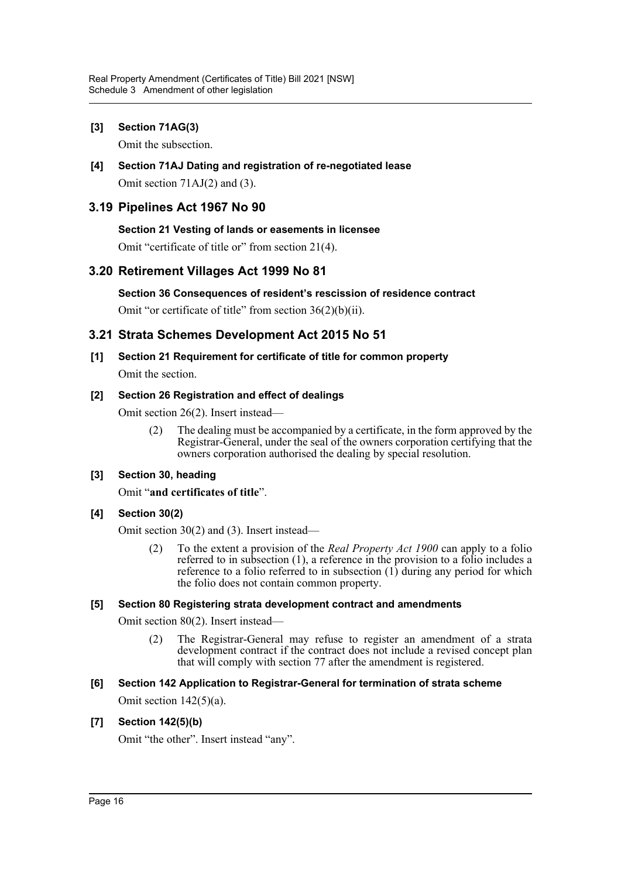# **[3] Section 71AG(3)**

Omit the subsection.

**[4] Section 71AJ Dating and registration of re-negotiated lease** Omit section 71AJ(2) and (3).

# **3.19 Pipelines Act 1967 No 90**

# **Section 21 Vesting of lands or easements in licensee**

Omit "certificate of title or" from section 21(4).

# **3.20 Retirement Villages Act 1999 No 81**

#### **Section 36 Consequences of resident's rescission of residence contract**

Omit "or certificate of title" from section 36(2)(b)(ii).

# **3.21 Strata Schemes Development Act 2015 No 51**

**[1] Section 21 Requirement for certificate of title for common property** Omit the section.

#### **[2] Section 26 Registration and effect of dealings**

Omit section 26(2). Insert instead—

(2) The dealing must be accompanied by a certificate, in the form approved by the Registrar-General, under the seal of the owners corporation certifying that the owners corporation authorised the dealing by special resolution.

# **[3] Section 30, heading**

Omit "**and certificates of title**".

# **[4] Section 30(2)**

Omit section 30(2) and (3). Insert instead—

(2) To the extent a provision of the *Real Property Act 1900* can apply to a folio referred to in subsection (1), a reference in the provision to a folio includes a reference to a folio referred to in subsection  $(1)$  during any period for which the folio does not contain common property.

#### **[5] Section 80 Registering strata development contract and amendments**

Omit section 80(2). Insert instead—

(2) The Registrar-General may refuse to register an amendment of a strata development contract if the contract does not include a revised concept plan that will comply with section 77 after the amendment is registered.

# **[6] Section 142 Application to Registrar-General for termination of strata scheme**

Omit section 142(5)(a).

#### **[7] Section 142(5)(b)**

Omit "the other". Insert instead "any".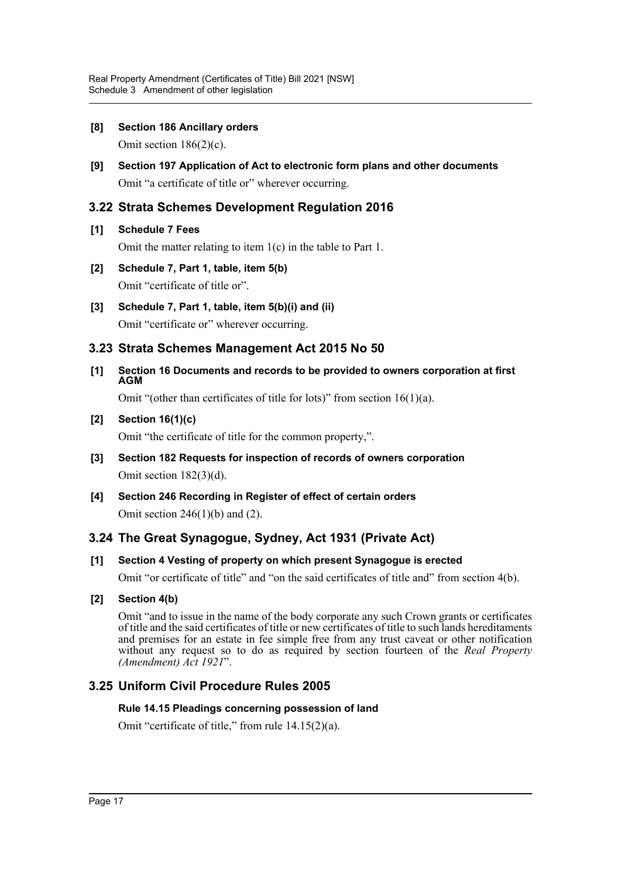# **[8] Section 186 Ancillary orders**

Omit section 186(2)(c).

**[9] Section 197 Application of Act to electronic form plans and other documents** Omit "a certificate of title or" wherever occurring.

# **3.22 Strata Schemes Development Regulation 2016**

# **[1] Schedule 7 Fees**

Omit the matter relating to item 1(c) in the table to Part 1.

- **[2] Schedule 7, Part 1, table, item 5(b)** Omit "certificate of title or".
- **[3] Schedule 7, Part 1, table, item 5(b)(i) and (ii)** Omit "certificate or" wherever occurring.

# **3.23 Strata Schemes Management Act 2015 No 50**

**[1] Section 16 Documents and records to be provided to owners corporation at first AGM**

Omit "(other than certificates of title for lots)" from section 16(1)(a).

# **[2] Section 16(1)(c)**

Omit "the certificate of title for the common property,".

- **[3] Section 182 Requests for inspection of records of owners corporation** Omit section 182(3)(d).
- **[4] Section 246 Recording in Register of effect of certain orders** Omit section 246(1)(b) and (2).

# **3.24 The Great Synagogue, Sydney, Act 1931 (Private Act)**

# **[1] Section 4 Vesting of property on which present Synagogue is erected**

Omit "or certificate of title" and "on the said certificates of title and" from section 4(b).

# **[2] Section 4(b)**

Omit "and to issue in the name of the body corporate any such Crown grants or certificates of title and the said certificates of title or new certificates of title to such lands hereditaments and premises for an estate in fee simple free from any trust caveat or other notification without any request so to do as required by section fourteen of the *Real Property (Amendment) Act 1921*".

# **3.25 Uniform Civil Procedure Rules 2005**

# **Rule 14.15 Pleadings concerning possession of land**

Omit "certificate of title," from rule 14.15(2)(a).